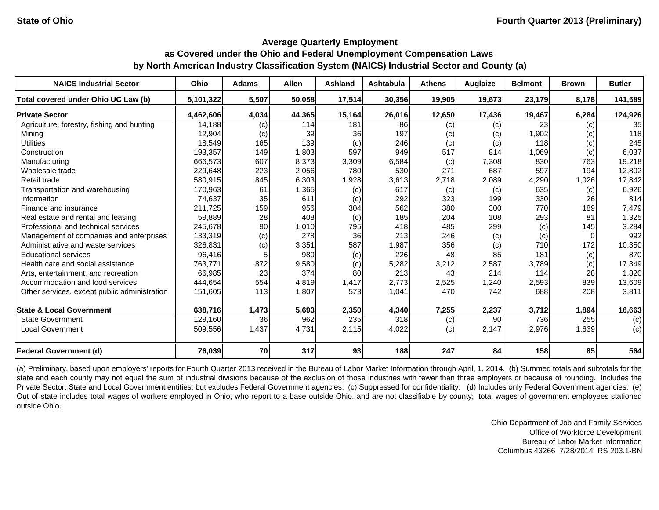#### **Average Quarterly Employment**

# **as Covered under the Ohio and Federal Unemployment Compensation Laws by North American Industry Classification System (NAICS) Industrial Sector and County (a)**

| <b>NAICS Industrial Sector</b>               | Ohio      | <b>Adams</b> | <b>Allen</b> | Ashland | Ashtabula | <b>Athens</b> | <b>Auglaize</b> | <b>Belmont</b> | <b>Brown</b> | <b>Butler</b> |
|----------------------------------------------|-----------|--------------|--------------|---------|-----------|---------------|-----------------|----------------|--------------|---------------|
| Total covered under Ohio UC Law (b)          | 5,101,322 | 5,507        | 50,058       | 17,514  | 30,356    | 19,905        | 19,673          | 23,179         | 8,178        | 141,589       |
| <b>Private Sector</b>                        | 4,462,606 | 4,034        | 44,365       | 15,164  | 26,016    | 12,650        | 17,436          | 19,467         | 6,284        | 124,926       |
| Agriculture, forestry, fishing and hunting   | 14,188    | (c)          | 114          | 181     | 86        | (c)           | (c)             | 23             | (c)          | 35            |
| Mining                                       | 12,904    | (c)          | 39           | 36      | 197       | (c)           | (c)             | 1,902          | (c)          | 118           |
| <b>Utilities</b>                             | 18,549    | 165          | 139          | (c)     | 246       | (c)           | (c)             | 118            | (c)          | 245           |
| Construction                                 | 193,357   | 149          | 1,803        | 597     | 949       | 517           | 814             | 1,069          | (c)          | 6,037         |
| Manufacturing                                | 666,573   | 607          | 8,373        | 3,309   | 6,584     | (c)           | 7,308           | 830            | 763          | 19,218        |
| Wholesale trade                              | 229,648   | 223          | 2,056        | 780     | 530       | 271           | 687             | 597            | 194          | 12,802        |
| Retail trade                                 | 580,915   | 845          | 6,303        | 1,928   | 3,613     | 2,718         | 2,089           | 4,290          | 1,026        | 17,842        |
| Transportation and warehousing               | 170,963   | 61           | 1,365        | (c)     | 617       | (c)           | (c)             | 635            | (c)          | 6,926         |
| Information                                  | 74,637    | 35           | 611          | (c)     | 292       | 323           | 199             | 330            | 26           | 814           |
| Finance and insurance                        | 211,725   | 159          | 956          | 304     | 562       | 380           | 300             | 770            | 189          | 7,479         |
| Real estate and rental and leasing           | 59,889    | 28           | 408          | (c)     | 185       | 204           | 108             | 293            | 81           | 1,325         |
| Professional and technical services          | 245,678   | 90           | 1,010        | 795     | 418       | 485           | 299             | (c)            | 145          | 3,284         |
| Management of companies and enterprises      | 133,319   | (c)          | 278          | 36      | 213       | 246           | (c)             | (c)            |              | 992           |
| Administrative and waste services            | 326,831   | (c)          | 3,351        | 587     | 1,987     | 356           | (c)             | 710            | 172          | 10,350        |
| <b>Educational services</b>                  | 96,416    |              | 980          | (c)     | 226       | 48            | 85              | 181            | (c)          | 870           |
| Health care and social assistance            | 763,771   | 872          | 9,580        | (c)     | 5,282     | 3,212         | 2,587           | 3,789          | (c)          | 17,349        |
| Arts, entertainment, and recreation          | 66.985    | 23           | 374          | 80      | 213       | 43            | 214             | 114            | 28           | 1,820         |
| Accommodation and food services              | 444,654   | 554          | 4,819        | 1,417   | 2,773     | 2,525         | 1,240           | 2,593          | 839          | 13,609        |
| Other services, except public administration | 151,605   | 113          | 1,807        | 573     | 1,041     | 470           | 742             | 688            | 208          | 3,811         |
| <b>State &amp; Local Government</b>          | 638,716   | 1,473        | 5,693        | 2,350   | 4,340     | 7,255         | 2,237           | 3,712          | 1,894        | 16,663        |
| <b>State Government</b>                      | 129,160   | 36           | 962          | 235     | 318       | (c)           | 90              | 736            | 255          | (c)           |
| <b>Local Government</b>                      | 509,556   | 1,437        | 4,731        | 2,115   | 4,022     | (c)           | 2,147           | 2,976          | 1,639        | (c)           |
| <b>Federal Government (d)</b>                | 76,039    | <b>70</b>    | 317          | 93      | 188       | 247           | 84              | 158            | 85           | 564           |

(a) Preliminary, based upon employers' reports for Fourth Quarter 2013 received in the Bureau of Labor Market Information through April, 1, 2014. (b) Summed totals and subtotals for the state and each county may not equal the sum of industrial divisions because of the exclusion of those industries with fewer than three employers or because of rounding. Includes the Private Sector, State and Local Government entities, but excludes Federal Government agencies. (c) Suppressed for confidentiality. (d) Includes only Federal Government agencies. (e) Out of state includes total wages of workers employed in Ohio, who report to <sup>a</sup> base outside Ohio, and are not classifiable by county; total wages of government employees stationed outside Ohio.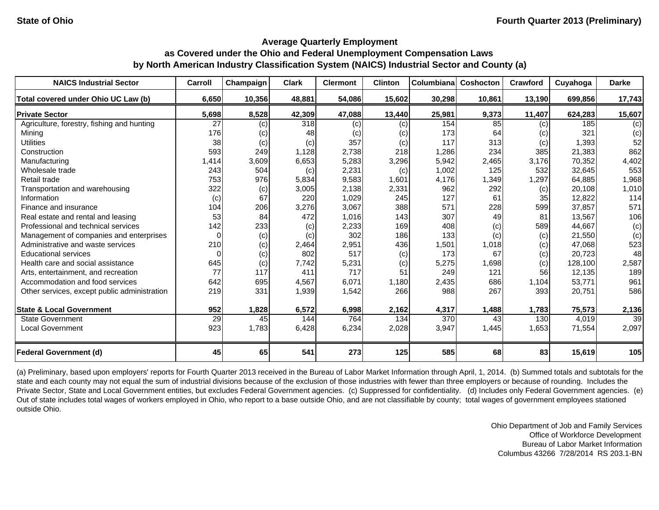| <b>NAICS Industrial Sector</b>               | Carroll  | Champaign | <b>Clark</b> | <b>Clermont</b> | <b>Clinton</b> | Columbianal | Coshocton | Crawford | Cuyahoga | <b>Darke</b>    |
|----------------------------------------------|----------|-----------|--------------|-----------------|----------------|-------------|-----------|----------|----------|-----------------|
| Total covered under Ohio UC Law (b)          | 6,650    | 10,356    | 48,881       | 54,086          | 15,602         | 30,298      | 10,861    | 13,190   | 699,856  | 17,743          |
| <b>Private Sector</b>                        | 5,698    | 8,528     | 42,309       | 47,088          | 13,440         | 25,981      | 9,373     | 11,407   | 624,283  | 15,607          |
| Agriculture, forestry, fishing and hunting   | 27       | (c)       | 318          | (c)             | (c)            | 154         | 85        | (c)      | 185      | (c)             |
| Mining                                       | 176      | (c)       | 48           | (c)             | (c)            | 173         | 64        | (c)      | 321      | (c)             |
| <b>Utilities</b>                             | 38       | (c)       | (c)          | 357             | (c)            | 117         | 313       | (c)      | 1,393    | 52              |
| Construction                                 | 593      | 249       | 1,128        | 2,738           | 218            | 1,286       | 234       | 385      | 21,383   | 862             |
| Manufacturing                                | 1,414    | 3,609     | 6,653        | 5,283           | 3,296          | 5,942       | 2,465     | 3,176    | 70,352   | 4,402           |
| Wholesale trade                              | 243      | 504       | (c)          | 2,231           | (c)            | 1,002       | 125       | 532      | 32,645   | 553             |
| Retail trade                                 | 753      | 976       | 5,834        | 9,583           | 1,601          | 4,176       | 1,349     | 1,297    | 64,885   | 1,968           |
| Transportation and warehousing               | 322      | (c)       | 3,005        | 2,138           | 2,331          | 962         | 292       | (c)      | 20,108   | 1,010           |
| Information                                  | (c)      | 67        | 220          | 1,029           | 245            | 127         | 61        | 35       | 12,822   | 114             |
| Finance and insurance                        | 104      | 206       | 3,276        | 3,067           | 388            | 571         | 228       | 599      | 37,857   | 571             |
| Real estate and rental and leasing           | 53       | 84        | 472          | 1,016           | 143            | 307         | 49        | 81       | 13,567   | 106             |
| Professional and technical services          | 142      | 233       | (c)          | 2,233           | 169            | 408         | (c)       | 589      | 44,667   | (c)             |
| Management of companies and enterprises      | $\Omega$ | (c)       | (c)          | 302             | 186            | 133         | (c)       | (c)      | 21,550   | (c)             |
| Administrative and waste services            | 210      | (c)       | 2,464        | 2,951           | 436            | 1,501       | 1,018     | (c)      | 47,068   | 523             |
| <b>Educational services</b>                  |          | (c)       | 802          | 517             | (c)            | 173         | 67        | (c)      | 20,723   | 48              |
| Health care and social assistance            | 645      | (c)       | 7,742        | 5,231           | (c)            | 5,275       | 1,698     | (c)      | 128,100  | 2,587           |
| Arts, entertainment, and recreation          | 77       | 117       | 411          | 717             | 51             | 249         | 121       | 56       | 12,135   | 189             |
| Accommodation and food services              | 642      | 695       | 4,567        | 6,071           | 1,180          | 2,435       | 686       | 1,104    | 53,771   | 961             |
| Other services, except public administration | 219      | 331       | 1,939        | 1,542           | 266            | 988         | 267       | 393      | 20,751   | 586             |
| <b>State &amp; Local Government</b>          | 952      | 1,828     | 6,572        | 6,998           | 2,162          | 4,317       | 1,488     | 1,783    | 75,573   | 2,136           |
| <b>State Government</b>                      | 29       | 45        | 144          | 764             | 134            | 370         | 43        | 130      | 4,019    | $\overline{39}$ |
| <b>Local Government</b>                      | 923      | 1,783     | 6,428        | 6,234           | 2,028          | 3,947       | 1,445     | 1,653    | 71,554   | 2,097           |
| <b>Federal Government (d)</b>                | 45       | 65        | 541          | 273             | 125            | 585         | 68        | 83       | 15,619   | 105             |

(a) Preliminary, based upon employers' reports for Fourth Quarter 2013 received in the Bureau of Labor Market Information through April, 1, 2014. (b) Summed totals and subtotals for the state and each county may not equal the sum of industrial divisions because of the exclusion of those industries with fewer than three employers or because of rounding. Includes the Private Sector, State and Local Government entities, but excludes Federal Government agencies. (c) Suppressed for confidentiality. (d) Includes only Federal Government agencies. (e) Out of state includes total wages of workers employed in Ohio, who report to a base outside Ohio, and are not classifiable by county; total wages of government employees stationed outside Ohio.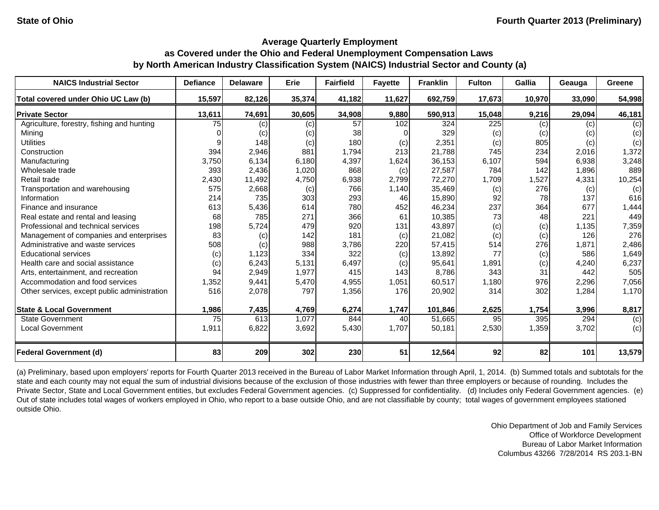| <b>NAICS Industrial Sector</b>               | <b>Defiance</b> | <b>Delaware</b> | Erie   | <b>Fairfield</b> | <b>Fayette</b> | <b>Franklin</b> | <b>Fulton</b> | <b>Gallia</b> | Geauga | Greene |
|----------------------------------------------|-----------------|-----------------|--------|------------------|----------------|-----------------|---------------|---------------|--------|--------|
| Total covered under Ohio UC Law (b)          | 15,597          | 82,126          | 35,374 | 41,182           | 11,627         | 692,759         | 17,673        | 10,970        | 33,090 | 54,998 |
| <b>Private Sector</b>                        | 13,611          | 74,691          | 30,605 | 34,908           | 9,880          | 590,913         | 15,048        | 9,216         | 29,094 | 46,181 |
| Agriculture, forestry, fishing and hunting   | 75              | (c)             | (c)    | 57               | 102            | 324             | 225           | (c)           | (c)    | (c)    |
| Mining                                       |                 | (c)             | (c)    | 38               |                | 329             | (c)           | (c)           | (c)    | (c)    |
| <b>Utilities</b>                             |                 | 148             | (c)    | 180              | (c)            | 2,351           | (c)           | 805           | (c)    | (c)    |
| Construction                                 | 394             | 2,946           | 881    | 1,794            | 213            | 21,788          | 745           | 234           | 2,016  | 1,372  |
| Manufacturing                                | 3,750           | 6,134           | 6,180  | 4,397            | 1,624          | 36,153          | 6,107         | 594           | 6,938  | 3,248  |
| Wholesale trade                              | 393             | 2,436           | 1,020  | 868              | (c)            | 27,587          | 784           | 142           | 1,896  | 889    |
| Retail trade                                 | 2,430           | 11,492          | 4,750  | 6,938            | 2,799          | 72,270          | 1,709         | 1,527         | 4,331  | 10,254 |
| Transportation and warehousing               | 575             | 2,668           | (c)    | 766              | 1,140          | 35,469          | (c)           | 276           | (c)    | (c)    |
| Information                                  | 214             | 735             | 303    | 293              | 46             | 15,890          | 92            | 78            | 137    | 616    |
| Finance and insurance                        | 613             | 5,436           | 614    | 780              | 452            | 46,234          | 237           | 364           | 677    | 1,444  |
| Real estate and rental and leasing           | 68              | 785             | 271    | 366              | 61             | 10,385          | 73            | 48            | 221    | 449    |
| Professional and technical services          | 198             | 5,724           | 479    | 920              | 131            | 43,897          | (c)           | (c)           | 1,135  | 7,359  |
| Management of companies and enterprises      | 83              | (c)             | 142    | 181              | (c)            | 21,082          | (c)           | (c)           | 126    | 276    |
| Administrative and waste services            | 508             | (c)             | 988    | 3,786            | 220            | 57,415          | 514           | 276           | 1,871  | 2,486  |
| <b>Educational services</b>                  | (c)             | 1,123           | 334    | 322              | (c)            | 13,892          | 77            | (c)           | 586    | 1,649  |
| Health care and social assistance            | (c)             | 6,243           | 5,131  | 6,497            | (c)            | 95,641          | 1,891         | (c)           | 4,240  | 6,237  |
| Arts, entertainment, and recreation          | 94              | 2,949           | 1,977  | 415              | 143            | 8,786           | 343           | 31            | 442    | 505    |
| Accommodation and food services              | 1,352           | 9,441           | 5,470  | 4,955            | 1,051          | 60,517          | 1,180         | 976           | 2,296  | 7,056  |
| Other services, except public administration | 516             | 2,078           | 797    | 1,356            | 176            | 20,902          | 314           | 302           | 1,284  | 1,170  |
| <b>State &amp; Local Government</b>          | 1,986           | 7,435           | 4,769  | 6,274            | 1,747          | 101,846         | 2,625         | 1,754         | 3,996  | 8,817  |
| <b>State Government</b>                      | 75              | 613             | 1,077  | 844              | 40             | 51,665          | 95            | 395           | 294    | (c)    |
| Local Government                             | 1,911           | 6,822           | 3,692  | 5,430            | 1,707          | 50,181          | 2,530         | 1,359         | 3,702  | (c)    |
| <b>Federal Government (d)</b>                | 83              | 209             | 302    | 230              | 51             | 12,564          | 92            | 82            | 101    | 13,579 |

(a) Preliminary, based upon employers' reports for Fourth Quarter 2013 received in the Bureau of Labor Market Information through April, 1, 2014. (b) Summed totals and subtotals for the state and each county may not equal the sum of industrial divisions because of the exclusion of those industries with fewer than three employers or because of rounding. Includes the Private Sector, State and Local Government entities, but excludes Federal Government agencies. (c) Suppressed for confidentiality. (d) Includes only Federal Government agencies. (e) Out of state includes total wages of workers employed in Ohio, who report to a base outside Ohio, and are not classifiable by county; total wages of government employees stationed outside Ohio.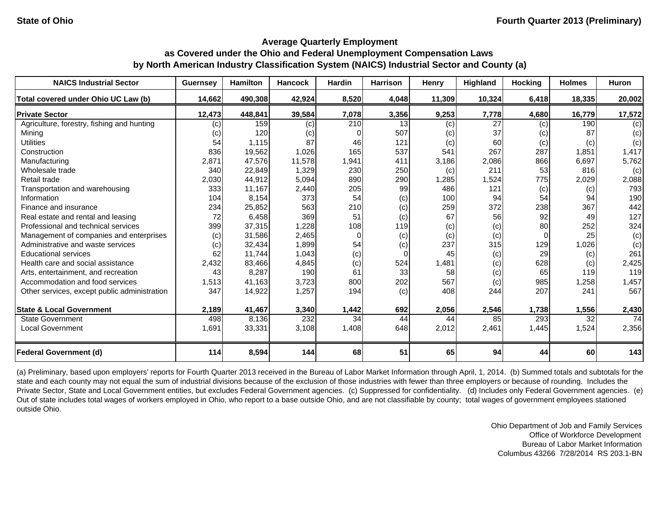| <b>NAICS Industrial Sector</b>               | <b>Guernsey</b> | <b>Hamilton</b> | <b>Hancock</b> | <b>Hardin</b> | <b>Harrison</b> | Henry  | Highland        | <b>Hocking</b>  | <b>Holmes</b> | <b>Huron</b> |
|----------------------------------------------|-----------------|-----------------|----------------|---------------|-----------------|--------|-----------------|-----------------|---------------|--------------|
| Total covered under Ohio UC Law (b)          | 14,662          | 490,308         | 42,924         | 8,520         | 4,048           | 11,309 | 10,324          | 6,418           | 18,335        | 20,002       |
| <b>Private Sector</b>                        | 12,473          | 448,841         | 39,584         | 7,078         | 3,356           | 9,253  | 7,778           | 4,680           | 16,779        | 17,572       |
| Agriculture, forestry, fishing and hunting   | (c)             | 159             | (c)            | 210           | 13              | (c)    | $\overline{27}$ | (c)             | 190           | (c)          |
| Mining                                       | (c)             | 120             | (c)            | 0             | 507             | (c)    | 37              | (c)             | 87            | (c)          |
| <b>Utilities</b>                             | 54              | 1,115           | 87             | 46            | 121             | (c)    | 60              | (c)             | (c)           | (c)          |
| Construction                                 | 836             | 19,562          | 1,026          | 165           | 537             | 541    | 267             | 287             | 1,851         | 1,417        |
| Manufacturing                                | 2,871           | 47,576          | 11,578         | 1,941         | 411             | 3,186  | 2,086           | 866             | 6,697         | 5,762        |
| Wholesale trade                              | 340             | 22,849          | 1,329          | 230           | 250             | (c)    | 211             | 53 <sub>l</sub> | 816           | (c)          |
| Retail trade                                 | 2,030           | 44,912          | 5,094          | 890           | 290             | 1,285  | 1,524           | 775             | 2,029         | 2,088        |
| Transportation and warehousing               | 333             | 11,167          | 2,440          | 205           | 99              | 486    | 121             | (c)             | (c)           | 793          |
| Information                                  | 104             | 8,154           | 373            | 54            | (c)             | 100    | 94              | 54              | 94            | 190          |
| Finance and insurance                        | 234             | 25,852          | 563            | 210           | (c)             | 259    | 372             | 238             | 367           | 442          |
| Real estate and rental and leasing           | 72              | 6,458           | 369            | 51            | (c)             | 67     | 56              | 92              | 49            | 127          |
| Professional and technical services          | 399             | 37,315          | 1,228          | 108           | 119             | (c)    | (c)             | 80              | 252           | 324          |
| Management of companies and enterprises      | (c)             | 31,586          | 2,465          | $\Omega$      | (c)             | (c)    | (c)             | $\Omega$        | 25            | (c)          |
| Administrative and waste services            | (c)             | 32,434          | 1,899          | 54            | (c)             | 237    | 315             | 129             | 1,026         | (c)          |
| <b>Educational services</b>                  | 62              | 11,744          | 1,043          | (c)           | $\Omega$        | 45     | (c)             | 29              | (c)           | 261          |
| Health care and social assistance            | 2,432           | 83,466          | 4,845          | (c)           | 524             | 1,481  | (c)             | 628             | (c)           | 2,425        |
| Arts, entertainment, and recreation          | 43              | 8,287           | 190            | 61            | 33              | 58     | (c)             | 65              | 119           | 119          |
| Accommodation and food services              | 1,513           | 41,163          | 3,723          | 800           | 202             | 567    | (c)             | 985             | 1,258         | 1,457        |
| Other services, except public administration | 347             | 14,922          | 1,257          | 194           | (c)             | 408    | 244             | 207             | 241           | 567          |
| <b>State &amp; Local Government</b>          | 2,189           | 41,467          | 3,340          | 1,442         | 692             | 2,056  | 2,546           | 1,738           | 1,556         | 2,430        |
| <b>State Government</b>                      | 498             | 8,136           | 232            | 34            | 44              | 44     | 85              | 293             | 32            | 74           |
| <b>Local Government</b>                      | 1,691           | 33,331          | 3,108          | 1,408         | 648             | 2,012  | 2,461           | 1,445           | 1,524         | 2,356        |
| <b>Federal Government (d)</b>                | 114             | 8,594           | 144            | 68            | 51              | 65     | 94              | 44              | 60            | 143          |

(a) Preliminary, based upon employers' reports for Fourth Quarter 2013 received in the Bureau of Labor Market Information through April, 1, 2014. (b) Summed totals and subtotals for the state and each county may not equal the sum of industrial divisions because of the exclusion of those industries with fewer than three employers or because of rounding. Includes the Private Sector, State and Local Government entities, but excludes Federal Government agencies. (c) Suppressed for confidentiality. (d) Includes only Federal Government agencies. (e) Out of state includes total wages of workers employed in Ohio, who report to a base outside Ohio, and are not classifiable by county; total wages of government employees stationed outside Ohio.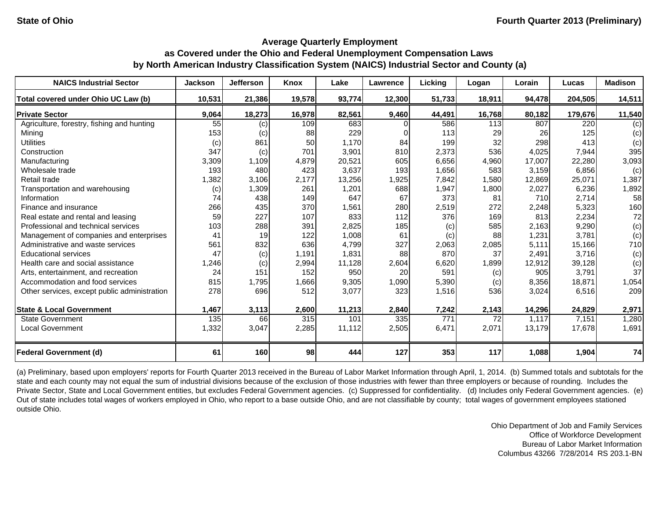| <b>NAICS Industrial Sector</b>               | <b>Jackson</b> | <b>Jefferson</b> | <b>Knox</b> | Lake   | Lawrence | Licking | Logan            | Lorain | Lucas   | <b>Madison</b> |
|----------------------------------------------|----------------|------------------|-------------|--------|----------|---------|------------------|--------|---------|----------------|
| Total covered under Ohio UC Law (b)          | 10,531         | 21,386           | 19,578      | 93,774 | 12,300   | 51,733  | 18,911           | 94,478 | 204,505 | 14,511         |
| <b>Private Sector</b>                        | 9,064          | 18,273           | 16,978      | 82,561 | 9,460    | 44,491  | 16,768           | 80,182 | 179,676 | 11,540         |
| Agriculture, forestry, fishing and hunting   | 55             | (c)              | 109         | 683    |          | 586     | $\overline{113}$ | 807    | 220     | (c)            |
| Mining                                       | 153            | (c)              | 88          | 229    |          | 113     | 29               | 26     | 125     | (c)            |
| <b>Utilities</b>                             | (c)            | 861              | 50          | 1,170  | 84       | 199     | 32               | 298    | 413     | (c)            |
| Construction                                 | 347            | (c)              | 701         | 3,901  | 810      | 2,373   | 536              | 4,025  | 7,944   | 395            |
| Manufacturing                                | 3,309          | 1,109            | 4,879       | 20,521 | 605      | 6,656   | 4,960            | 17,007 | 22,280  | 3,093          |
| Wholesale trade                              | 193            | 480              | 423         | 3,637  | 193      | 1,656   | 583              | 3,159  | 6,856   | (c)            |
| Retail trade                                 | 1,382          | 3,106            | 2,177       | 13,256 | 1,925    | 7,842   | 1,580            | 12,869 | 25,071  | 1,387          |
| Transportation and warehousing               | (c)            | 1,309            | 261         | 1,201  | 688      | 1,947   | 1,800            | 2,027  | 6,236   | 1,892          |
| Information                                  | 74             | 438              | 149         | 647    | 67       | 373     | 81               | 710    | 2,714   | 58             |
| Finance and insurance                        | 266            | 435              | 370         | 1,561  | 280      | 2,519   | 272              | 2,248  | 5,323   | 160            |
| Real estate and rental and leasing           | 59             | 227              | 107         | 833    | 112      | 376     | 169              | 813    | 2,234   | 72             |
| Professional and technical services          | 103            | 288              | 391         | 2,825  | 185      | (c)     | 585              | 2,163  | 9,290   | (c)            |
| Management of companies and enterprises      | 41             | 19               | 122         | 1,008  | 61       | (c)     | 88               | 1,231  | 3,781   | (c)            |
| Administrative and waste services            | 561            | 832              | 636         | 4,799  | 327      | 2,063   | 2,085            | 5,111  | 15,166  | 710            |
| <b>Educational services</b>                  | 47             | (c)              | 1,191       | 1,831  | 88       | 870     | 37               | 2,491  | 3,716   | (c)            |
| Health care and social assistance            | 1,246          | (c)              | 2,994       | 11,128 | 2,604    | 6,620   | 1,899            | 12,912 | 39,128  | (c)            |
| Arts, entertainment, and recreation          | 24             | 151              | 152         | 950    | 20       | 591     | (c)              | 905    | 3,791   | 37             |
| Accommodation and food services              | 815            | 1,795            | 1,666       | 9,305  | 1,090    | 5,390   | (c)              | 8,356  | 18,871  | 1,054          |
| Other services, except public administration | 278            | 696              | 512         | 3,077  | 323      | 1,516   | 536              | 3,024  | 6,516   | 209            |
| <b>State &amp; Local Government</b>          | 1,467          | 3,113            | 2,600       | 11,213 | 2,840    | 7,242   | 2,143            | 14,296 | 24,829  | 2,971          |
| <b>State Government</b>                      | 135            | 66               | 315         | 101    | 335      | 771     | 72               | 1,117  | 7,151   | 1,280          |
| <b>Local Government</b>                      | 1,332          | 3,047            | 2,285       | 11,112 | 2,505    | 6,471   | 2,071            | 13,179 | 17,678  | 1,691          |
| <b>Federal Government (d)</b>                | 61             | 160              | 98          | 444    | 127      | 353     | 117              | 1,088  | 1,904   | 74             |

(a) Preliminary, based upon employers' reports for Fourth Quarter 2013 received in the Bureau of Labor Market Information through April, 1, 2014. (b) Summed totals and subtotals for the state and each county may not equal the sum of industrial divisions because of the exclusion of those industries with fewer than three employers or because of rounding. Includes the Private Sector, State and Local Government entities, but excludes Federal Government agencies. (c) Suppressed for confidentiality. (d) Includes only Federal Government agencies. (e) Out of state includes total wages of workers employed in Ohio, who report to a base outside Ohio, and are not classifiable by county; total wages of government employees stationed outside Ohio.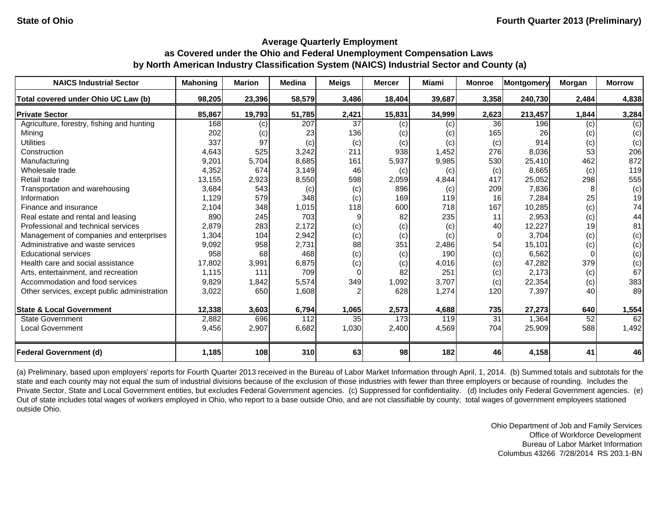| <b>NAICS Industrial Sector</b>               | <b>Mahoning</b> | Marion | <b>Medina</b> | Meigs           | <b>Mercer</b> | Miami  | <b>Monroe</b>   | Montgomery | Morgan | <b>Morrow</b> |
|----------------------------------------------|-----------------|--------|---------------|-----------------|---------------|--------|-----------------|------------|--------|---------------|
| Total covered under Ohio UC Law (b)          | 98,205          | 23,396 | 58,579        | 3,486           | 18,404        | 39,687 | 3,358           | 240,730    | 2,484  | 4,838         |
| <b>Private Sector</b>                        | 85,867          | 19,793 | 51,785        | 2,421           | 15,831        | 34,999 | 2,623           | 213,457    | 1,844  | 3,284         |
| Agriculture, forestry, fishing and hunting   | 168             | (c)    | 207           | 37              | (c)           | (c)    | 36              | 196        | (c)    | (c)           |
| Minina                                       | 202             | (c)    | 23            | 136             | (c)           | (c)    | 165             | 26         | (c)    | (c)           |
| <b>Utilities</b>                             | 337             | 97     | (c)           | (c)             | (c)           | (c)    | (c)             | 914        | (c)    | (c)           |
| Construction                                 | 4,643           | 525    | 3,242         | 211             | 938           | 1,452  | 276             | 8,036      | 53     | 206           |
| Manufacturing                                | 9,201           | 5,704  | 8,685         | 161             | 5,937         | 9,985  | 530             | 25,410     | 462    | 872           |
| Wholesale trade                              | 4,352           | 674    | 3,149         | 46              | (c)           | (c)    | (c)             | 8,665      | (c)    | 119           |
| Retail trade                                 | 13,155          | 2,923  | 8,550         | 598             | 2,059         | 4,844  | 417             | 25,052     | 298    | 555           |
| Transportation and warehousing               | 3.684           | 543    | (c)           | (c)             | 896           | (c)    | 209             | 7,836      | 8      | (c)           |
| Information                                  | 1,129           | 579    | 348           | (c)             | 169           | 119    | 16              | 7,284      | 25     | 19            |
| Finance and insurance                        | 2,104           | 348    | 1,015         | 118             | 600           | 718    | 167             | 10,285     | (c)    | 74            |
| Real estate and rental and leasing           | 890             | 245    | 703           | 9               | 82            | 235    | 11              | 2,953      | (c)    | 44            |
| Professional and technical services          | 2,879           | 283    | 2,172         | (c)             | (c)           | (c)    | 40              | 12,227     | 19     | 81            |
| Management of companies and enterprises      | 1,304           | 104    | 2,942         | (c)             | (c)           | (c)    | $\Omega$        | 3.704      | (c)    | (c)           |
| Administrative and waste services            | 9,092           | 958    | 2,731         | 88              | 351           | 2,486  | 54              | 15,101     | (c)    | (c)           |
| <b>Educational services</b>                  | 958             | 68     | 468           | (c)             | (c)           | 190    | (c)             | 6,562      |        | (c)           |
| Health care and social assistance            | 17,802          | 3,991  | 6,875         | (c)             | (c)           | 4,016  | (c)             | 47,282     | 379    | (c)           |
| Arts, entertainment, and recreation          | 1,115           | 111    | 709           | $\Omega$        | 82            | 251    | (c)             | 2,173      | (c)    | 67            |
| Accommodation and food services              | 9,829           | 1,842  | 5,574         | 349             | 1,092         | 3,707  | (c)             | 22,354     | (c)    | 383           |
| Other services, except public administration | 3,022           | 650    | 1,608         | $\overline{2}$  | 628           | 1,274  | 120             | 7,397      | 40     | 89            |
| <b>State &amp; Local Government</b>          | 12,338          | 3,603  | 6,794         | 1,065           | 2,573         | 4,688  | 735             | 27,273     | 640    | 1,554         |
| <b>State Government</b>                      | 2,882           | 696    | 112           | 35 <sub>l</sub> | 173           | 119    | $\overline{31}$ | 1,364      | 52     | 62            |
| <b>Local Government</b>                      | 9,456           | 2,907  | 6,682         | 1,030           | 2,400         | 4,569  | 704             | 25,909     | 588    | 1,492         |
| <b>Federal Government (d)</b>                | 1,185           | 108    | 310           | 63              | 98            | 182    | 46              | 4,158      | 41     | 46            |

(a) Preliminary, based upon employers' reports for Fourth Quarter 2013 received in the Bureau of Labor Market Information through April, 1, 2014. (b) Summed totals and subtotals for the state and each county may not equal the sum of industrial divisions because of the exclusion of those industries with fewer than three employers or because of rounding. Includes the Private Sector, State and Local Government entities, but excludes Federal Government agencies. (c) Suppressed for confidentiality. (d) Includes only Federal Government agencies. (e) Out of state includes total wages of workers employed in Ohio, who report to a base outside Ohio, and are not classifiable by county; total wages of government employees stationed outside Ohio.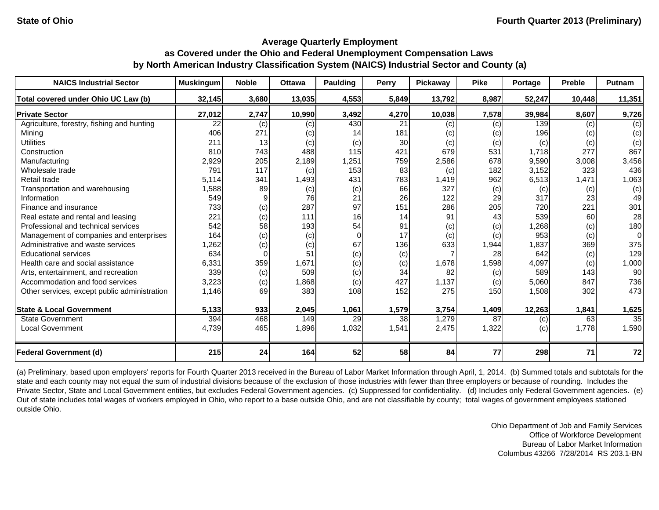| <b>NAICS Industrial Sector</b>               | <b>Muskingum</b> | <b>Noble</b> | <b>Ottawa</b> | <b>Paulding</b> | Perry | Pickaway | <b>Pike</b> | Portage | <b>Preble</b> | <b>Putnam</b> |
|----------------------------------------------|------------------|--------------|---------------|-----------------|-------|----------|-------------|---------|---------------|---------------|
| Total covered under Ohio UC Law (b)          | 32,145           | 3,680        | 13,035        | 4,553           | 5,849 | 13,792   | 8,987       | 52,247  | 10,448        | 11,351        |
| <b>Private Sector</b>                        | 27,012           | 2,747        | 10,990        | 3,492           | 4,270 | 10,038   | 7,578       | 39,984  | 8,607         | 9,726         |
| Agriculture, forestry, fishing and hunting   | 22               | (c)          | (c)           | 430             | 21    | (c)      | (c)         | 139     | (c)           | (c)           |
| Mining                                       | 406              | 271          | (c)           | 14              | 181   | (c)      | (c)         | 196     | (c)           | (c)           |
| <b>Utilities</b>                             | 211              | 13           | (c)           | (c)             | 30    | (c)      | (c)         | (c)     | (c)           | (c)           |
| Construction                                 | 810              | 743          | 488           | 115             | 421   | 679      | 531         | 1,718   | 277           | 867           |
| Manufacturing                                | 2,929            | 205          | 2,189         | 1,251           | 759   | 2,586    | 678         | 9,590   | 3,008         | 3,456         |
| Wholesale trade                              | 791              | 117          | (c)           | 153             | 83    | (c)      | 182         | 3,152   | 323           | 436           |
| Retail trade                                 | 5,114            | 341          | 1,493         | 431             | 783   | 1,419    | 962         | 6,513   | 1,471         | 1,063         |
| Transportation and warehousing               | 1,588            | 89           | (c)           | (c)             | 66    | 327      | (c)         | (c)     | (c)           | (c)           |
| Information                                  | 549              |              | 76            | 21              | 26    | 122      | 29          | 317     | 23            | 49            |
| Finance and insurance                        | 733              | (c)          | 287           | 97              | 151   | 286      | 205         | 720     | 221           | 301           |
| Real estate and rental and leasing           | 221              | (c)          | 111           | 16              | 14    | 91       | 43          | 539     | 60            | 28            |
| Professional and technical services          | 542              | 58           | 193           | 54              | 91    | (c)      | (c)         | ,268    | (c)           | 180           |
| Management of companies and enterprises      | 164              | (c)          | (c)           | $\Omega$        | 17    | (c)      | (c)         | 953     | (c)           | $\Omega$      |
| Administrative and waste services            | 1,262            | (c)          | (c)           | 67              | 136   | 633      | 1,944       | 1,837   | 369           | 375           |
| <b>Educational services</b>                  | 634              | 0            | 51            | (c)             | (c)   |          | 28          | 642     | (c)           | 129           |
| Health care and social assistance            | 6,331            | 359          | 1,671         | (c)             | (c)   | 1,678    | 1,598       | 4,097   | (c)           | 1,000         |
| Arts, entertainment, and recreation          | 339              | (c)          | 509           | (c)             | 34    | 82       | (c)         | 589     | 143           | 90            |
| Accommodation and food services              | 3,223            | (c)          | 1,868         | (c)             | 427   | 1,137    | (c)         | 5,060   | 847           | 736           |
| Other services, except public administration | 1,146            | 69           | 383           | 108             | 152   | 275      | 150         | 1,508   | 302           | 473           |
| <b>State &amp; Local Government</b>          | 5,133            | 933          | 2,045         | 1,061           | 1,579 | 3,754    | 1,409       | 12,263  | 1,841         | 1,625         |
| <b>State Government</b>                      | 394              | 468          | 149           | 29              | 38    | 1,279    | 87          | (c)     | 63            | 35            |
| <b>Local Government</b>                      | 4,739            | 465          | 1,896         | 1,032           | 1,541 | 2,475    | 1,322       | (c)     | 1,778         | 1,590         |
| <b>Federal Government (d)</b>                | 215              | 24           | 164           | 52              | 58    | 84       | 77          | 298     | 71            | 72            |

(a) Preliminary, based upon employers' reports for Fourth Quarter 2013 received in the Bureau of Labor Market Information through April, 1, 2014. (b) Summed totals and subtotals for the state and each county may not equal the sum of industrial divisions because of the exclusion of those industries with fewer than three employers or because of rounding. Includes the Private Sector, State and Local Government entities, but excludes Federal Government agencies. (c) Suppressed for confidentiality. (d) Includes only Federal Government agencies. (e) Out of state includes total wages of workers employed in Ohio, who report to a base outside Ohio, and are not classifiable by county; total wages of government employees stationed outside Ohio.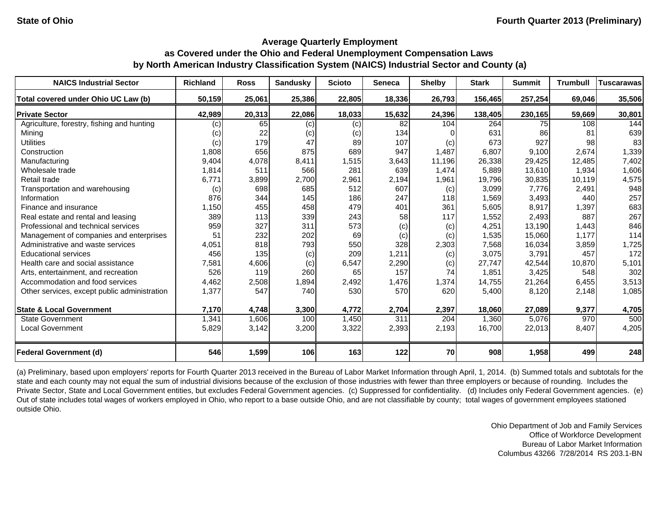| <b>NAICS Industrial Sector</b>               | <b>Richland</b> | <b>Ross</b> | <b>Sandusky</b> | <b>Scioto</b> | Seneca | <b>Shelby</b> | <b>Stark</b> | <b>Summit</b> | <b>Trumbull</b> | <b>Tuscarawas</b> |
|----------------------------------------------|-----------------|-------------|-----------------|---------------|--------|---------------|--------------|---------------|-----------------|-------------------|
| Total covered under Ohio UC Law (b)          | 50,159          | 25,061      | 25,386          | 22,805        | 18,336 | 26,793        | 156,465      | 257,254       | 69.046          | 35,506            |
| <b>Private Sector</b>                        | 42,989          | 20,313      | 22,086          | 18,033        | 15,632 | 24,396        | 138,405      | 230,165       | 59,669          | 30,801            |
| Agriculture, forestry, fishing and hunting   | (c)             | 65          | (c)             | (c)           | 82     | 104           | 264          | 75I           | 108             | 144               |
| Mining                                       | (c)             | 22          | (c)             | (c)           | 134    |               | 631          | 86            | 81              | 639               |
| <b>Utilities</b>                             | (c)             | 179         | 47              | 89            | 107    | (c)           | 673          | 927           | 98              | 83                |
| Construction                                 | 1,808           | 656         | 875             | 689           | 947    | 1,487         | 6,807        | 9,100         | 2,674           | 1,339             |
| Manufacturing                                | 9,404           | 4,078       | 8,411           | 1,515         | 3,643  | 11,196        | 26,338       | 29,425        | 12,485          | 7,402             |
| Wholesale trade                              | 1,814           | 511         | 566             | 281           | 639    | 1,474         | 5,889        | 13,610        | 1,934           | 1,606             |
| Retail trade                                 | 6,771           | 3,899       | 2,700           | 2,961         | 2,194  | 1,961         | 19,796       | 30,835        | 10,119          | 4,575             |
| Transportation and warehousing               | (c)             | 698         | 685             | 512           | 607    | (c)           | 3,099        | 7,776         | 2,491           | 948               |
| Information                                  | 876             | 344         | 145             | 186           | 247    | 118           | 1,569        | 3,493         | 440             | 257               |
| Finance and insurance                        | 1,150           | 455         | 458             | 479           | 401    | 361           | 5,605        | 8,917         | 1,397           | 683               |
| Real estate and rental and leasing           | 389             | 113         | 339             | 243           | 58     | 117           | 1,552        | 2,493         | 887             | 267               |
| Professional and technical services          | 959             | 327         | 311             | 573           | (c)    | (c)           | 4,251        | 13,190        | 1,443           | 846               |
| Management of companies and enterprises      | 51              | 232         | 202             | 69            | (c)    | (c)           | 1,535        | 15,060        | 1,177           | 114               |
| Administrative and waste services            | 4,051           | 818         | 793             | 550           | 328    | 2,303         | 7,568        | 16,034        | 3,859           | 1,725             |
| <b>Educational services</b>                  | 456             | 135         | (c)             | 209           | 1,211  | (c)           | 3,075        | 3,791         | 457             | 172               |
| Health care and social assistance            | 7,581           | 4,606       | (c)             | 6,547         | 2,290  | (c)           | 27,747       | 42,544        | 10,870          | 5,101             |
| Arts, entertainment, and recreation          | 526             | 119         | 260             | 65            | 157    | 74            | 1,851        | 3,425         | 548             | 302               |
| Accommodation and food services              | 4,462           | 2,508       | 1,894           | 2,492         | 1,476  | 1,374         | 14,755       | 21,264        | 6,455           | 3,513             |
| Other services, except public administration | 1,377           | 547         | 740             | 530           | 570    | 620           | 5,400        | 8,120         | 2,148           | 1,085             |
| <b>State &amp; Local Government</b>          | 7,170           | 4,748       | 3,300           | 4,772         | 2,704  | 2,397         | 18,060       | 27,089        | 9,377           | 4,705             |
| <b>State Government</b>                      | 1,341           | 1,606       | 100             | 1,450         | 311    | 204           | 1,360        | 5,076         | 970             | 500               |
| <b>Local Government</b>                      | 5,829           | 3,142       | 3,200           | 3,322         | 2,393  | 2,193         | 16,700       | 22,013        | 8,407           | 4,205             |
| <b>Federal Government (d)</b>                | 546             | 1,599       | 106             | 163           | 122    | 70            | 908          | 1,958         | 499             | 248               |

(a) Preliminary, based upon employers' reports for Fourth Quarter 2013 received in the Bureau of Labor Market Information through April, 1, 2014. (b) Summed totals and subtotals for the state and each county may not equal the sum of industrial divisions because of the exclusion of those industries with fewer than three employers or because of rounding. Includes the Private Sector, State and Local Government entities, but excludes Federal Government agencies. (c) Suppressed for confidentiality. (d) Includes only Federal Government agencies. (e) Out of state includes total wages of workers employed in Ohio, who report to a base outside Ohio, and are not classifiable by county; total wages of government employees stationed outside Ohio.